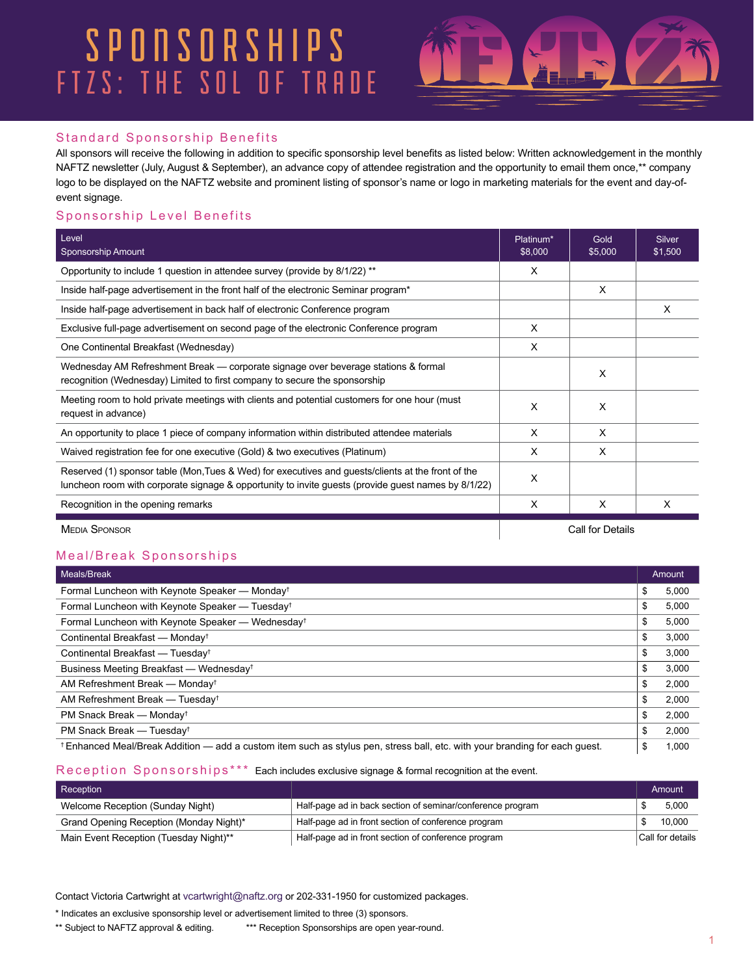### FTZS: THE SOL OF TRADE **SPONSORSHIPS**



#### Standard Sponsorship Benefits

All sponsors will receive the following in addition to specific sponsorship level benefits as listed below: Written acknowledgement in the monthly NAFTZ newsletter (July, August & September), an advance copy of attendee registration and the opportunity to email them once,\*\* company logo to be displayed on the NAFTZ website and prominent listing of sponsor's name or logo in marketing materials for the event and day-ofevent signage.

#### Sponsorship Level Benefits

| Level<br><b>Sponsorship Amount</b>                                                                                                                                                                        |                  | Gold<br>\$5,000 | Silver<br>\$1,500 |
|-----------------------------------------------------------------------------------------------------------------------------------------------------------------------------------------------------------|------------------|-----------------|-------------------|
| Opportunity to include 1 question in attendee survey (provide by 8/1/22) **                                                                                                                               |                  |                 |                   |
| Inside half-page advertisement in the front half of the electronic Seminar program*                                                                                                                       |                  | X               |                   |
| Inside half-page advertisement in back half of electronic Conference program                                                                                                                              |                  |                 | X                 |
| Exclusive full-page advertisement on second page of the electronic Conference program                                                                                                                     | X                |                 |                   |
| One Continental Breakfast (Wednesday)                                                                                                                                                                     | X                |                 |                   |
| Wednesday AM Refreshment Break — corporate signage over beverage stations & formal<br>recognition (Wednesday) Limited to first company to secure the sponsorship                                          | X                |                 |                   |
| Meeting room to hold private meetings with clients and potential customers for one hour (must<br>request in advance)                                                                                      | X                | X               |                   |
| An opportunity to place 1 piece of company information within distributed attendee materials                                                                                                              | X                | X               |                   |
| Waived registration fee for one executive (Gold) & two executives (Platinum)                                                                                                                              | X                | X               |                   |
| Reserved (1) sponsor table (Mon, Tues & Wed) for executives and guests/clients at the front of the<br>luncheon room with corporate signage & opportunity to invite guests (provide guest names by 8/1/22) | X                |                 |                   |
| Recognition in the opening remarks                                                                                                                                                                        | X                | X               | x                 |
| <b>MEDIA SPONSOR</b>                                                                                                                                                                                      | Call for Details |                 |                   |

#### Meal/Break Sponsorships

| Meals/Break                                                                                                               | Amount      |
|---------------------------------------------------------------------------------------------------------------------------|-------------|
| Formal Luncheon with Keynote Speaker - Monday <sup>t</sup>                                                                | \$<br>5,000 |
| Formal Luncheon with Keynote Speaker - Tuesday <sup>t</sup>                                                               | \$<br>5,000 |
| Formal Luncheon with Keynote Speaker - Wednesdayt                                                                         | \$<br>5,000 |
| Continental Breakfast - Monday <sup>t</sup>                                                                               | \$<br>3,000 |
| Continental Breakfast - Tuesday <sup>t</sup>                                                                              | \$<br>3,000 |
| Business Meeting Breakfast - Wednesdayt                                                                                   | \$<br>3,000 |
| AM Refreshment Break — Monday <sup>†</sup>                                                                                | \$<br>2,000 |
| AM Refreshment Break — Tuesday <sup>t</sup>                                                                               | \$<br>2,000 |
| PM Snack Break - Monday <sup>†</sup>                                                                                      | \$<br>2,000 |
| PM Snack Break - Tuesday <sup>t</sup>                                                                                     | \$<br>2,000 |
| Enhanced Meal/Break Addition — add a custom item such as stylus pen, stress ball, etc. with your branding for each guest. | \$<br>1,000 |

#### Reception Sponsorships\*\*\* Each includes exclusive signage & formal recognition at the event.

| <b>Reception</b>                        |                                                            | Amount           |
|-----------------------------------------|------------------------------------------------------------|------------------|
| Welcome Reception (Sunday Night)        | Half-page ad in back section of seminar/conference program | 5.000            |
| Grand Opening Reception (Monday Night)* | Half-page ad in front section of conference program        | 10.000           |
| Main Event Reception (Tuesday Night)**  | Half-page ad in front section of conference program        | Call for details |

Contact Victoria Cartwright at vcartwright@naftz.org or 202-331-1950 for customized packages.

\* Indicates an exclusive sponsorship level or advertisement limited to three (3) sponsors.

\*\* Subject to NAFTZ approval & editing. \*\*\* Reception Sponsorships are open year-round.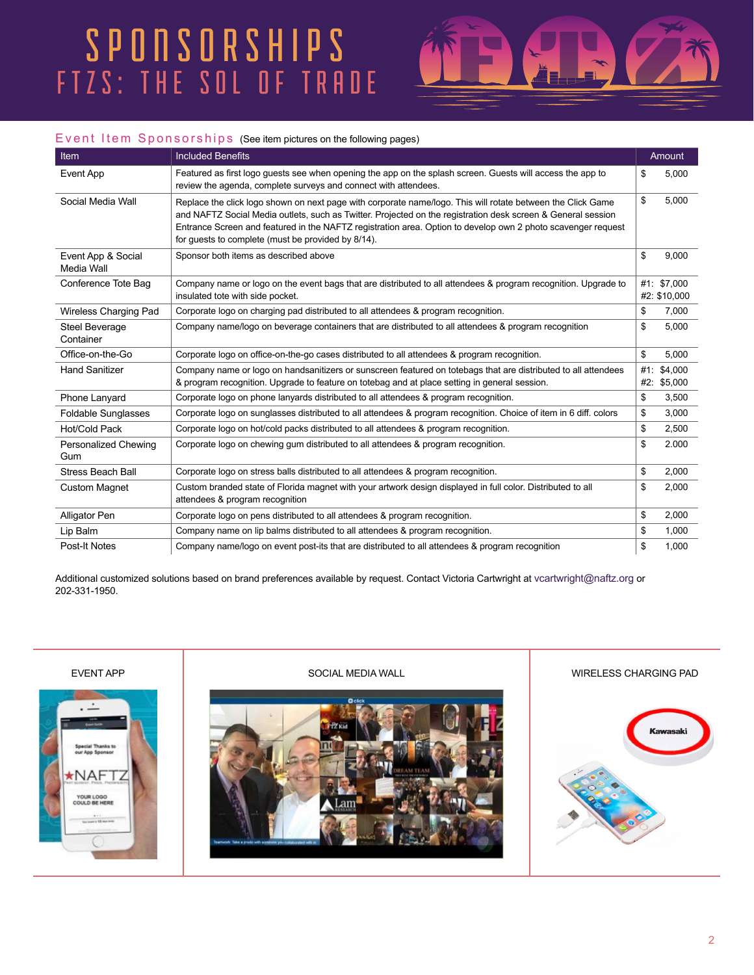## FTZS: THE SOL OF TRADE SPONSORSHIPS



#### Event Item Sponsorships (See item pictures on the following pages)

| Item                               | <b>Included Benefits</b>                                                                                                                                                                                                                                                                                                                                                                          |     | Amount                      |
|------------------------------------|---------------------------------------------------------------------------------------------------------------------------------------------------------------------------------------------------------------------------------------------------------------------------------------------------------------------------------------------------------------------------------------------------|-----|-----------------------------|
| <b>Event App</b>                   | Featured as first logo guests see when opening the app on the splash screen. Guests will access the app to<br>review the agenda, complete surveys and connect with attendees.                                                                                                                                                                                                                     | \$  | 5,000                       |
| Social Media Wall                  | Replace the click logo shown on next page with corporate name/logo. This will rotate between the Click Game<br>and NAFTZ Social Media outlets, such as Twitter. Projected on the registration desk screen & General session<br>Entrance Screen and featured in the NAFTZ registration area. Option to develop own 2 photo scavenger request<br>for guests to complete (must be provided by 8/14). | \$  | 5.000                       |
| Event App & Social<br>Media Wall   | Sponsor both items as described above                                                                                                                                                                                                                                                                                                                                                             | \$  | 9.000                       |
| Conference Tote Bag                | Company name or logo on the event bags that are distributed to all attendees & program recognition. Upgrade to<br>insulated tote with side pocket.                                                                                                                                                                                                                                                |     | #1: \$7,000<br>#2: \$10,000 |
| Wireless Charging Pad              | Corporate logo on charging pad distributed to all attendees & program recognition.                                                                                                                                                                                                                                                                                                                | \$  | 7,000                       |
| <b>Steel Beverage</b><br>Container | Company name/logo on beverage containers that are distributed to all attendees & program recognition                                                                                                                                                                                                                                                                                              | \$  | 5.000                       |
| Office-on-the-Go                   | Corporate logo on office-on-the-go cases distributed to all attendees & program recognition.                                                                                                                                                                                                                                                                                                      | \$  | 5.000                       |
| <b>Hand Sanitizer</b>              | Company name or logo on handsanitizers or sunscreen featured on totebags that are distributed to all attendees<br>& program recognition. Upgrade to feature on totebag and at place setting in general session.                                                                                                                                                                                   | #1: | \$4.000<br>#2: \$5,000      |
| Phone Lanyard                      | Corporate logo on phone lanyards distributed to all attendees & program recognition.                                                                                                                                                                                                                                                                                                              | \$  | 3,500                       |
| <b>Foldable Sunglasses</b>         | Corporate logo on sunglasses distributed to all attendees & program recognition. Choice of item in 6 diff. colors                                                                                                                                                                                                                                                                                 | \$  | 3,000                       |
| Hot/Cold Pack                      | Corporate logo on hot/cold packs distributed to all attendees & program recognition.                                                                                                                                                                                                                                                                                                              | \$  | 2,500                       |
| Personalized Chewing<br>Gum        | Corporate logo on chewing gum distributed to all attendees & program recognition.                                                                                                                                                                                                                                                                                                                 | \$  | 2.000                       |
| <b>Stress Beach Ball</b>           | Corporate logo on stress balls distributed to all attendees & program recognition.                                                                                                                                                                                                                                                                                                                | \$  | 2,000                       |
| <b>Custom Magnet</b>               | Custom branded state of Florida magnet with your artwork design displayed in full color. Distributed to all<br>attendees & program recognition                                                                                                                                                                                                                                                    | \$  | 2,000                       |
| Alligator Pen                      | Corporate logo on pens distributed to all attendees & program recognition.                                                                                                                                                                                                                                                                                                                        | \$  | 2,000                       |
| Lip Balm                           | Company name on lip balms distributed to all attendees & program recognition.                                                                                                                                                                                                                                                                                                                     | \$  | 1,000                       |
| Post-It Notes                      | Company name/logo on event post-its that are distributed to all attendees & program recognition                                                                                                                                                                                                                                                                                                   | \$  | 1.000                       |

Additional customized solutions based on brand preferences available by request. Contact Victoria Cartwright at vcartwright@naftz.org or 202-331-1950.

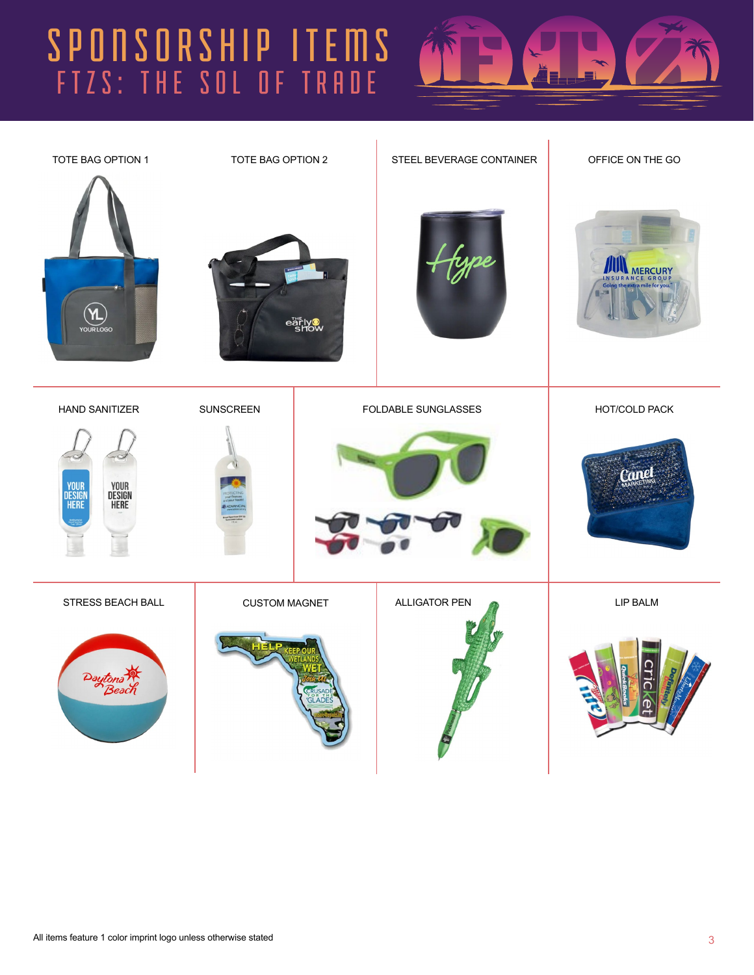# FTZS: THE SOL OF TRADE SPONSORSHIP ITEMS